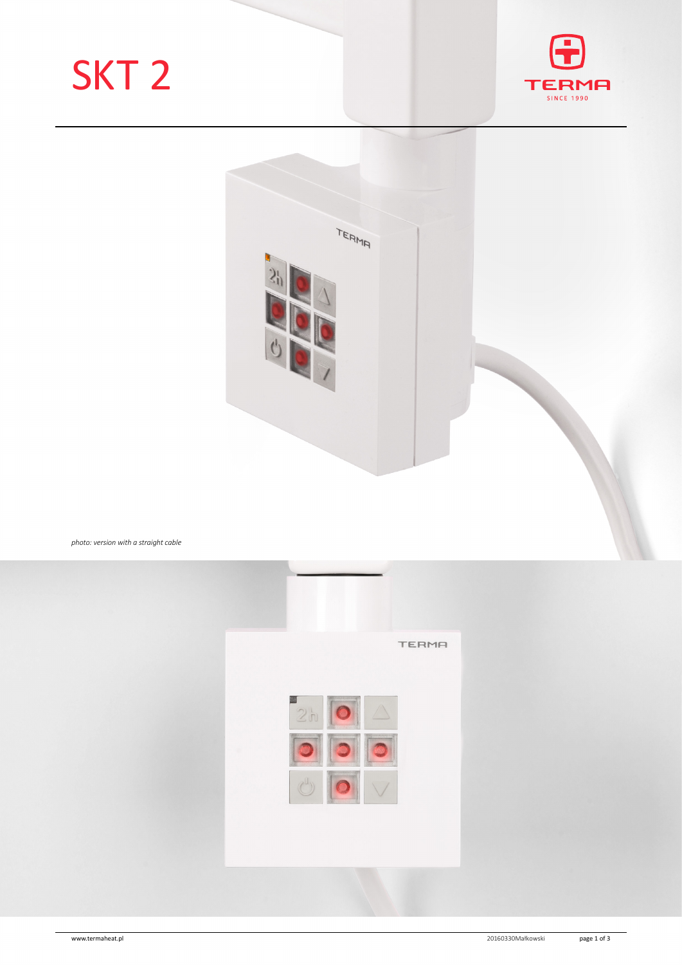# SKT 2





*photo: version with a straight cable*

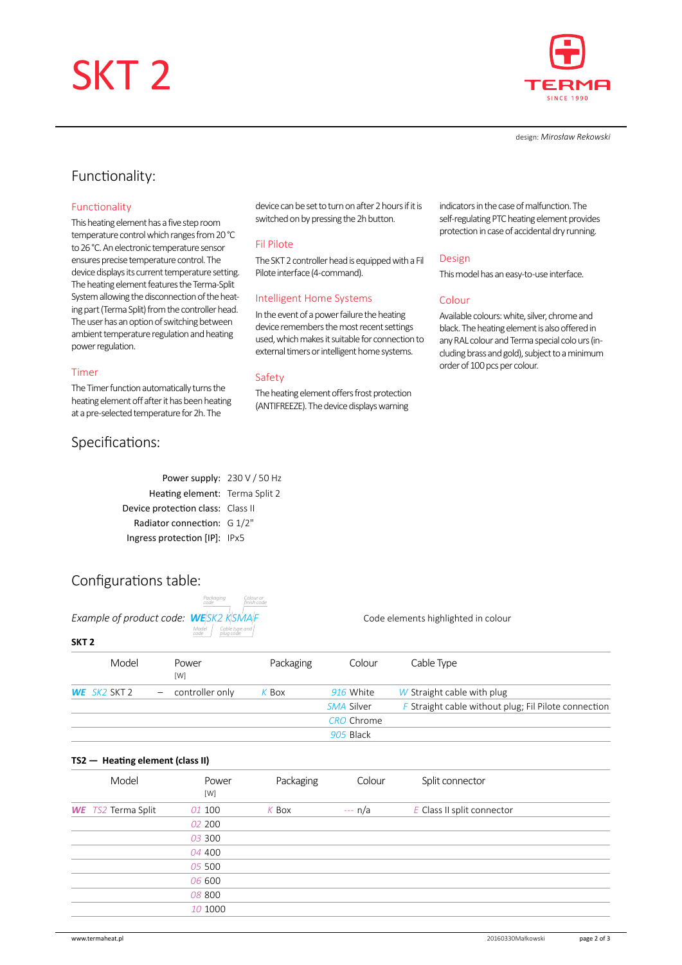# SKT 2



design: *Mirosław Rekowski*

## Functionality:

### Functionality

This heating element has a five step room temperature control which ranges from 20°C to 26 °C. An electronic temperature sensor ensures precise temperature control. The device displays its current temperature setting. The heating element features the Terma-Split System allowing the disconnection of the heating part (Terma Split) from the controller head. The user has an option of switching between ambient temperature regulation and heating power regulation.

#### Timer

The Timer function automatically turns the heating element off after it has been heating at a pre-selected temperature for 2h. The

## Specifications:

device can be set to turn on after 2 hours if it is switched on by pressing the 2h button.

#### Fil Pilote

The SKT 2 controller head is equipped with a Fil Pilote interface (4-command).

#### Intelligent Home Systems

In the event of a power failure the heating device remembers the most recent settings used, which makes it suitable for connection to external timers or intelligent home systems.

#### Safety

The heating element offers frost protection (ANTIFREEZE). The device displays warning

indicators in the case of malfunction. The self-regulating PTC heating element provides protection in case of accidental dry running.

#### Design

This model has an easy-to-use interface.

#### Colour

Available colours: white, silver, chrome and black. The heating element is also offered in any RAL colour and Terma special colo urs (including brass and gold), subject to a minimum order of 100 pcs per colour.

| Power supply: 230 V / 50 Hz       |  |
|-----------------------------------|--|
| Heating element: Terma Split 2    |  |
| Device protection class: Class II |  |
| Radiator connection: G 1/2"       |  |
| Ingress protection [IP]: IPx5     |  |
|                                   |  |

## Configurations table:

|                                  | <b>FULNUUIIIU</b><br>code |            |
|----------------------------------|---------------------------|------------|
| Example of product code: WESK2 I |                           |            |
| SKT <sub>2</sub>                 | Model<br>code             | Cal<br>plu |

*Packaging code Colour or finish code Cable type and plug code*

*Example of product code: WE SK2 K SMA F* Code elements highlighted in colour

|              | Model | Power<br>[W]        | Packaging | Colour            | Cable Type                                           |
|--------------|-------|---------------------|-----------|-------------------|------------------------------------------------------|
| WE SK2 SKT 2 |       | $-$ controller only | K Box     | 916 White         | W Straight cable with plug                           |
|              |       |                     |           | SMA Silver        | F Straight cable without plug; Fil Pilote connection |
|              |       |                     |           | <b>CRO</b> Chrome |                                                      |
|              |       |                     |           | 905 Black         |                                                      |
|              |       |                     |           |                   |                                                      |

### **TS2— Heating element (class II)**

| Model                     | Power<br>[W] | Packaging | Colour   | Split connector            |
|---------------------------|--------------|-----------|----------|----------------------------|
| <b>WE</b> TS2 Terma Split | 01 100       | $K$ Box   | $-- n/a$ | E Class II split connector |
|                           | 02 200       |           |          |                            |
|                           | 03 300       |           |          |                            |
|                           | 04 400       |           |          |                            |
|                           | 05 500       |           |          |                            |
|                           | 06 600       |           |          |                            |
|                           | 08 800       |           |          |                            |
|                           | 10 1000      |           |          |                            |